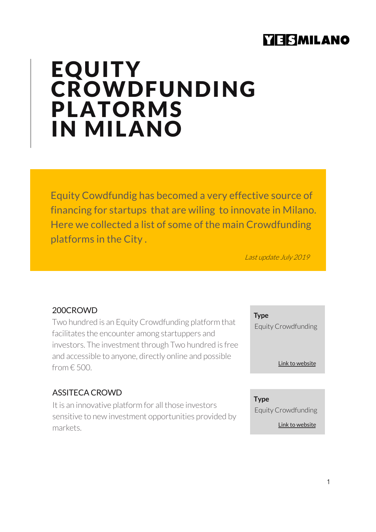# **YIERMILANO**

# **EQUITY CROWDFUNDING** PLATORMS IN MILANO

Equity Cowdfundig has becomed a very effective source of financing for startups that are wiling to innovate in Milano. Here we collected a list of some of the main Crowdfunding platforms in the City .

Last update July 2019

#### 200CROWD

Two hundred is an Equity Crowdfunding platform that facilitates the encounter among startuppers and investors. The investment through Two hundred is free and accessible to anyone, directly online and possible  $from  $f$  500.$ 

#### ASSITECA CROWD

It is an innovative platform for all those investors sensitive to new investment opportunities provided by markets.

**Type**

Equity Crowdfunding

[Link to web](https://200crowd.com/V2)site

**Type** Equity Crowdfunding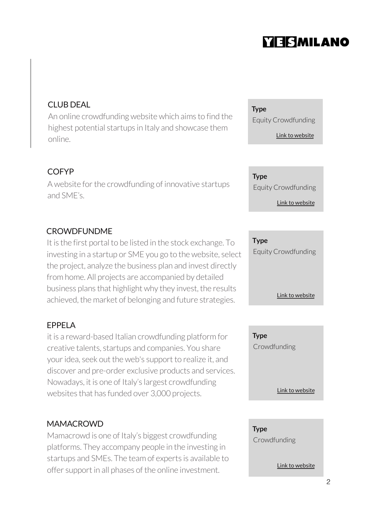# **YESMILANO**

# CLUB DEAL

An online crowdfunding website which aims to find the highest potential startups in Italy and showcase them online.

# COFYP

A website for the crowdfunding of innovative startups and SME's.

# **CROWDFUNDME**

It is the first portal to be listed in the stock exchange. To investing in a startup or SME you go to the website, select the project, analyze the business plan and invest directly from home. All projects are accompanied by detailed business plans that highlight why they invest, the results achieved, the market of belonging and future strategies.

### EPPELA

it is a reward-based Italian crowdfunding platform for creative talents, startups and companies. You share your idea, seek out the web's support to realize it, and discover and pre-order exclusive products and services. Nowadays, it is one of Italy's largest crowdfunding websites that has funded over 3,000 projects.

### **MAMACROWD**

Mamacrowd is one of Italy's biggest crowdfunding platforms. They accompany people in the investing in startups and SMEs. The team of experts is available to offer support in all phases of the online investment.

**Type** Equity Crowdfunding

[Link to web](http://www.clubdealonline.com/)site

**Type** Equity Crowdfunding

[Link to web](http://www.cofyp.com/)site

#### **Type**

Equity Crowdfunding

[Link to web](http://www.crowdfundme.it/)site

**Type** Crowdfunding

[Link to web](http://www.eppela.com/en)site

**Type Crowdfunding**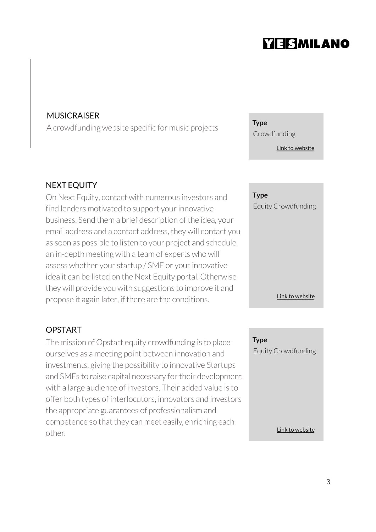# **YIESMILANO**

#### **MUSICRAISER**

A crowdfunding website specific for music projects **Type**

#### NEXT EQUITY

On Next Equity, contact with numerous investors and find lenders motivated to support your innovative business. Send them a brief description of the idea, your email address and a contact address, they will contact you as soon as possible to listen to your project and schedule an in-depth meeting with a team of experts who will assess whether your startup / SME or your innovative idea it can be listed on the Next Equity portal. Otherwise they will provide you with suggestions to improve it and propose it again later, if there are the conditions.

#### OPSTART

The mission of Opstart equity crowdfunding is to place ourselves as a meeting point between innovation and investments, giving the possibility to innovative Startups and SMEs to raise capital necessary for their development with a large audience of investors. Their added value is to offer both types of interlocutors, innovators and investors the appropriate guarantees of professionalism and competence so that they can meet easily, enriching each other.

Crowdfunding

**Type** Equity Crowdfunding

[Link to web](https://www.musicraiser.com/it)site

[Link to web](http://www.nextequity.it/)site

**Type** Equity Crowdfunding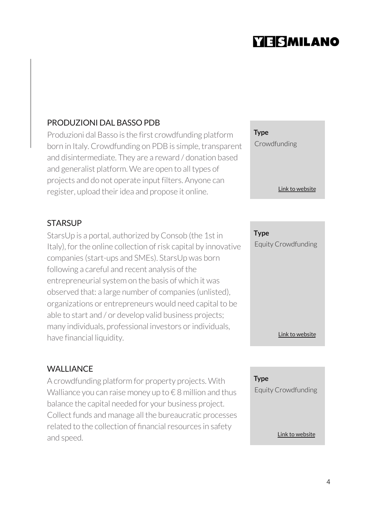# **YESMILANO**

## PRODUZIONI DAL BASSO PDB

Produzioni dal Basso is the first crowdfunding platform born in Italy. Crowdfunding on PDB is simple, transparent and disintermediate. They are a reward / donation based and generalist platform. We are open to all types of projects and do not operate input filters. Anyone can register, upload their idea and propose it online.

### **STARSUP**

StarsUp is a portal, authorized by Consob (the 1st in Italy), for the online collection of risk capital by innovative companies (start-ups and SMEs). StarsUp was born following a careful and recent analysis of the entrepreneurial system on the basis of which it was observed that: a large number of companies (unlisted), organizations or entrepreneurs would need capital to be able to start and / or develop valid business projects; many individuals, professional investors or individuals, have financial liquidity.

### **WALLIANCE**

A crowdfunding platform for property projects. With Walliance you can raise money up to  $\epsilon$  8 million and thus balance the capital needed for your business project. Collect funds and manage all the bureaucratic processes related to the collection of financial resources in safety and speed.

**Type** Crowdfunding

[Link to web](https://www.produzionidalbasso.com/)site

**Type** Equity Crowdfunding

[Link to web](http://www.starsup.it/)site

**Type** Equity Crowdfunding